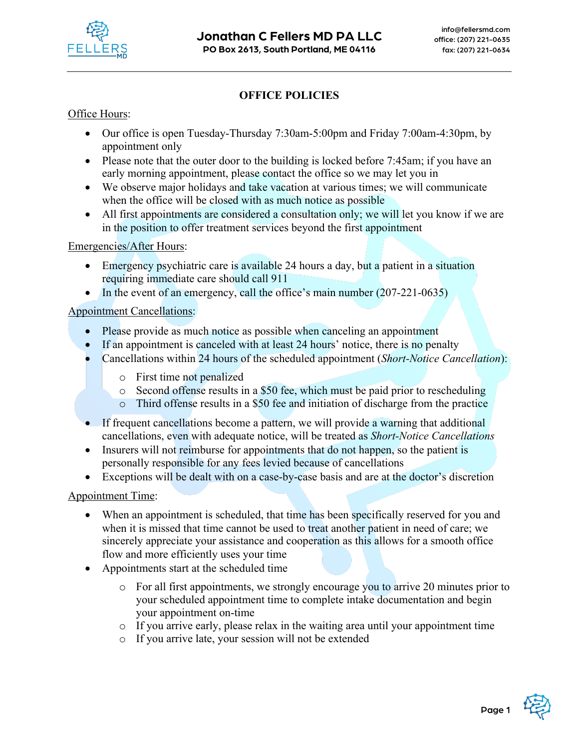

### **OFFICE POLICIES**

Office Hours:

- Our office is open Tuesday-Thursday 7:30am-5:00pm and Friday 7:00am-4:30pm, by appointment only
- Please note that the outer door to the building is locked before 7:45am; if you have an early morning appointment, please contact the office so we may let you in
- We observe major holidays and take vacation at various times; we will communicate when the office will be closed with as much notice as possible
- All first appointments are considered a consultation only; we will let you know if we are in the position to offer treatment services beyond the first appointment

Emergencies/After Hours:

- Emergency psychiatric care is available 24 hours a day, but a patient in a situation requiring immediate care should call 911
- In the event of an emergency, call the office's main number (207-221-0635)

### Appointment Cancellations:

- Please provide as much notice as possible when canceling an appointment
- If an appointment is canceled with at least 24 hours' notice, there is no penalty
- Cancellations within 24 hours of the scheduled appointment (*Short-Notice Cancellation*):
	- o First time not penalized
	- o Second offense results in a \$50 fee, which must be paid prior to rescheduling
	- o Third offense results in a \$50 fee and initiation of discharge from the practice
- If frequent cancellations become a pattern, we will provide a warning that additional cancellations, even with adequate notice, will be treated as *Short-Notice Cancellations*
- Insurers will not reimburse for appointments that do not happen, so the patient is personally responsible for any fees levied because of cancellations
- Exceptions will be dealt with on a case-by-case basis and are at the doctor's discretion

#### Appointment Time:

- When an appointment is scheduled, that time has been specifically reserved for you and when it is missed that time cannot be used to treat another patient in need of care; we sincerely appreciate your assistance and cooperation as this allows for a smooth office flow and more efficiently uses your time
- Appointments start at the scheduled time
	- o For all first appointments, we strongly encourage you to arrive 20 minutes prior to your scheduled appointment time to complete intake documentation and begin your appointment on-time
	- o If you arrive early, please relax in the waiting area until your appointment time
	- o If you arrive late, your session will not be extended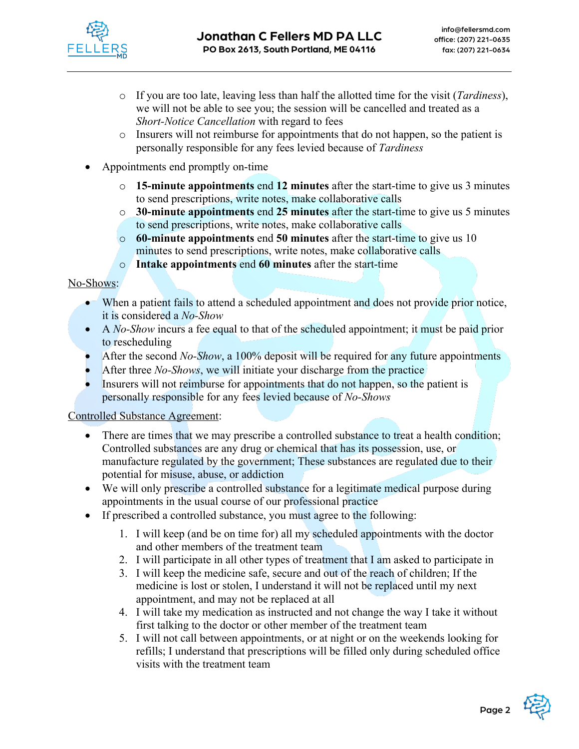

- o If you are too late, leaving less than half the allotted time for the visit (*Tardiness*), we will not be able to see you; the session will be cancelled and treated as a *Short-Notice Cancellation* with regard to fees
- o Insurers will not reimburse for appointments that do not happen, so the patient is personally responsible for any fees levied because of *Tardiness*
- Appointments end promptly on-time
	- o **15-minute appointments** end **12 minutes** after the start-time to give us 3 minutes to send prescriptions, write notes, make collaborative calls
	- o **30-minute appointments** end **25 minutes** after the start-time to give us 5 minutes to send prescriptions, write notes, make collaborative calls
	- o **60-minute appointments** end **50 minutes** after the start-time to give us 10 minutes to send prescriptions, write notes, make collaborative calls
	- o **Intake appointments** end **60 minutes** after the start-time

No-Shows:

- When a patient fails to attend a scheduled appointment and does not provide prior notice, it is considered a *No-Show*
- A *No-Show* incurs a fee equal to that of the scheduled appointment; it must be paid prior to rescheduling
- After the second *No-Show*, a 100% deposit will be required for any future appointments
- After three *No-Shows*, we will initiate your discharge from the practice
- Insurers will not reimburse for appointments that do not happen, so the patient is personally responsible for any fees levied because of *No-Shows*

#### Controlled Substance Agreement:

- There are times that we may prescribe a controlled substance to treat a health condition; Controlled substances are any drug or chemical that has its possession, use, or manufacture regulated by the government; These substances are regulated due to their potential for misuse, abuse, or addiction
- We will only prescribe a controlled substance for a legitimate medical purpose during appointments in the usual course of our professional practice
- If prescribed a controlled substance, you must agree to the following:
	- 1. I will keep (and be on time for) all my scheduled appointments with the doctor and other members of the treatment team
	- 2. I will participate in all other types of treatment that I am asked to participate in
	- 3. I will keep the medicine safe, secure and out of the reach of children; If the medicine is lost or stolen, I understand it will not be replaced until my next appointment, and may not be replaced at all
	- 4. I will take my medication as instructed and not change the way I take it without first talking to the doctor or other member of the treatment team
	- 5. I will not call between appointments, or at night or on the weekends looking for refills; I understand that prescriptions will be filled only during scheduled office visits with the treatment team

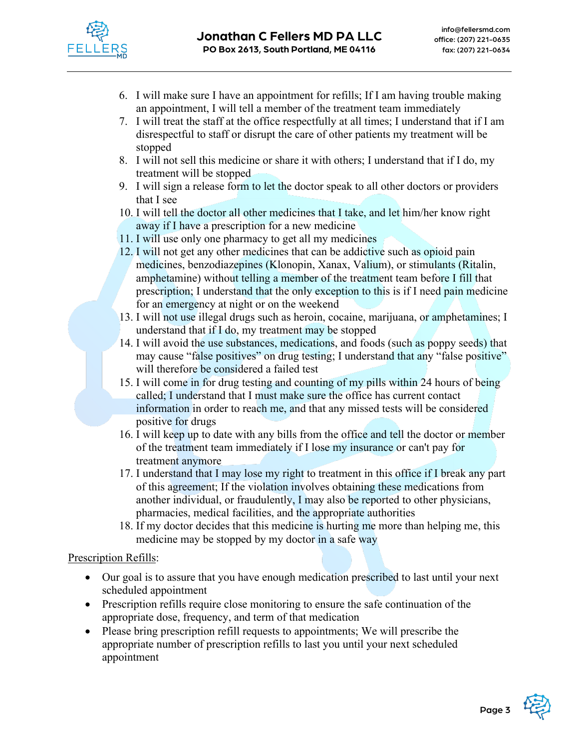

- 6. I will make sure I have an appointment for refills; If I am having trouble making an appointment, I will tell a member of the treatment team immediately
- 7. I will treat the staff at the office respectfully at all times; I understand that if I am disrespectful to staff or disrupt the care of other patients my treatment will be stopped
- 8. I will not sell this medicine or share it with others; I understand that if I do, my treatment will be stopped
- 9. I will sign a release form to let the doctor speak to all other doctors or providers that I see
- 10. I will tell the doctor all other medicines that I take, and let him/her know right away if I have a prescription for a new medicine
- 11. I will use only one pharmacy to get all my medicines
- 12. I will not get any other medicines that can be addictive such as opioid pain medicines, benzodiazepines (Klonopin, Xanax, Valium), or stimulants (Ritalin, amphetamine) without telling a member of the treatment team before I fill that prescription; I understand that the only exception to this is if I need pain medicine for an emergency at night or on the weekend
- 13. I will not use illegal drugs such as heroin, cocaine, marijuana, or amphetamines; I understand that if I do, my treatment may be stopped
- 14. I will avoid the use substances, medications, and foods (such as poppy seeds) that may cause "false positives" on drug testing; I understand that any "false positive" will therefore be considered a failed test
- 15. I will come in for drug testing and counting of my pills within 24 hours of being called; I understand that I must make sure the office has current contact information in order to reach me, and that any missed tests will be considered positive for drugs
- 16. I will keep up to date with any bills from the office and tell the doctor or member of the treatment team immediately if I lose my insurance or can't pay for treatment anymore
- 17. I understand that I may lose my right to treatment in this office if I break any part of this agreement; If the violation involves obtaining these medications from another individual, or fraudulently, I may also be reported to other physicians, pharmacies, medical facilities, and the appropriate authorities
- 18. If my doctor decides that this medicine is hurting me more than helping me, this medicine may be stopped by my doctor in a safe way

### Prescription Refills:

- Our goal is to assure that you have enough medication prescribed to last until your next scheduled appointment
- Prescription refills require close monitoring to ensure the safe continuation of the appropriate dose, frequency, and term of that medication
- Please bring prescription refill requests to appointments; We will prescribe the appropriate number of prescription refills to last you until your next scheduled appointment

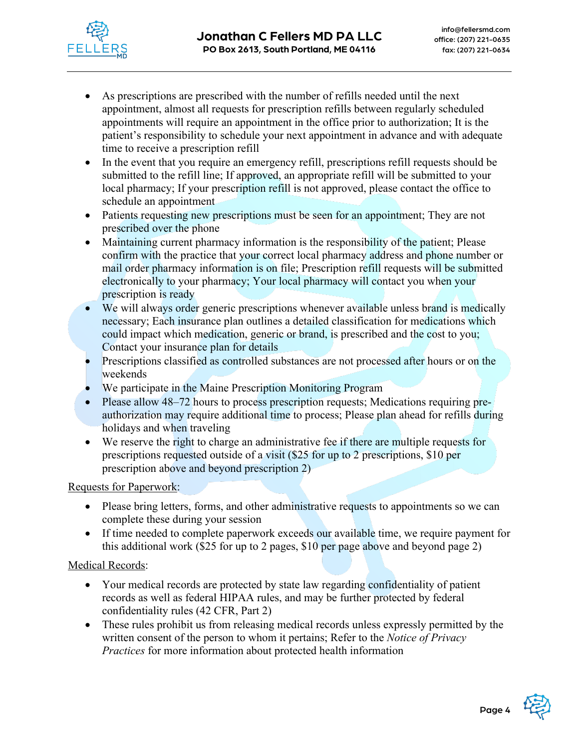

- As prescriptions are prescribed with the number of refills needed until the next appointment, almost all requests for prescription refills between regularly scheduled appointments will require an appointment in the office prior to authorization; It is the patient's responsibility to schedule your next appointment in advance and with adequate time to receive a prescription refill
- In the event that you require an emergency refill, prescriptions refill requests should be submitted to the refill line; If approved, an appropriate refill will be submitted to your local pharmacy; If your prescription refill is not approved, please contact the office to schedule an appointment
- Patients requesting new prescriptions must be seen for an appointment; They are not prescribed over the phone
- Maintaining current pharmacy information is the responsibility of the patient; Please confirm with the practice that your correct local pharmacy address and phone number or mail order pharmacy information is on file; Prescription refill requests will be submitted electronically to your pharmacy; Your local pharmacy will contact you when your prescription is ready
- We will always order generic prescriptions whenever available unless brand is medically necessary; Each insurance plan outlines a detailed classification for medications which could impact which medication, generic or brand, is prescribed and the cost to you; Contact your insurance plan for details
- Prescriptions classified as controlled substances are not processed after hours or on the weekends
- We participate in the Maine Prescription Monitoring Program
- Please allow 48–72 hours to process prescription requests; Medications requiring preauthorization may require additional time to process; Please plan ahead for refills during holidays and when traveling
- We reserve the right to charge an administrative fee if there are multiple requests for prescriptions requested outside of a visit (\$25 for up to 2 prescriptions, \$10 per prescription above and beyond prescription 2)

Requests for Paperwork:

- Please bring letters, forms, and other administrative requests to appointments so we can complete these during your session
- If time needed to complete paperwork exceeds our available time, we require payment for this additional work (\$25 for up to 2 pages, \$10 per page above and beyond page 2)

### Medical Records:

- Your medical records are protected by state law regarding confidentiality of patient records as well as federal HIPAA rules, and may be further protected by federal confidentiality rules (42 CFR, Part 2)
- These rules prohibit us from releasing medical records unless expressly permitted by the written consent of the person to whom it pertains; Refer to the *Notice of Privacy Practices* for more information about protected health information

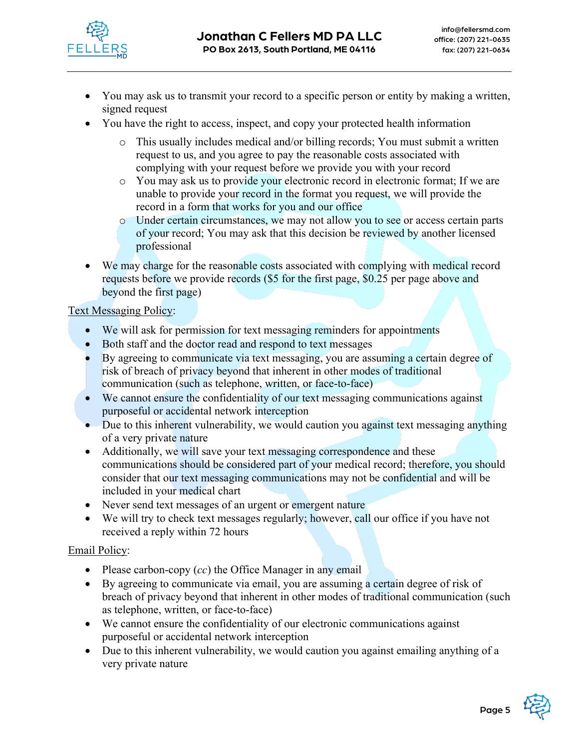

- You may ask us to transmit your record to a specific person or entity by making a written, signed request
- You have the right to access, inspect, and copy your protected health information
	- o This usually includes medical and/or billing records; You must submit a written request to us, and you agree to pay the reasonable costs associated with complying with your request before we provide you with your record
	- o You may ask us to provide your electronic record in electronic format; If we are unable to provide your record in the format you request, we will provide the record in a form that works for you and our office
	- o Under certain circumstances, we may not allow you to see or access certain parts of your record; You may ask that this decision be reviewed by another licensed professional
- We may charge for the reasonable costs associated with complying with medical record requests before we provide records (\$5 for the first page, \$0.25 per page above and beyond the first page)

# Text Messaging Policy:

- We will ask for permission for text messaging reminders for appointments
- Both staff and the doctor read and respond to text messages
- By agreeing to communicate via text messaging, you are assuming a certain degree of risk of breach of privacy beyond that inherent in other modes of traditional communication (such as telephone, written, or face-to-face)
- We cannot ensure the confidentiality of our text messaging communications against purposeful or accidental network interception
- Due to this inherent vulnerability, we would caution you against text messaging anything of a very private nature
- Additionally, we will save your text messaging correspondence and these communications should be considered part of your medical record; therefore, you should consider that our text messaging communications may not be confidential and will be included in your medical chart
- Never send text messages of an urgent or emergent nature
- We will try to check text messages regularly; however, call our office if you have not received a reply within 72 hours

### Email Policy:

- Please carbon-copy (*cc*) the Office Manager in any email
- By agreeing to communicate via email, you are assuming a certain degree of risk of breach of privacy beyond that inherent in other modes of traditional communication (such as telephone, written, or face-to-face)
- We cannot ensure the confidentiality of our electronic communications against purposeful or accidental network interception
- Due to this inherent vulnerability, we would caution you against emailing anything of a very private nature

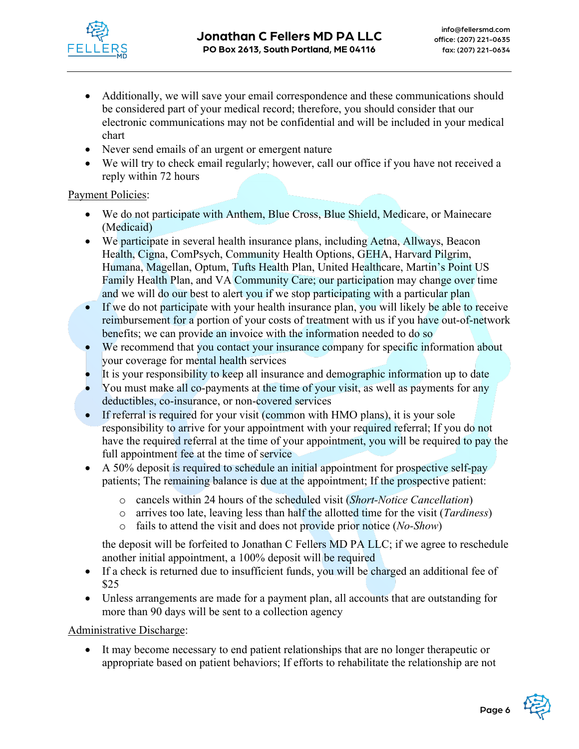

- Additionally, we will save your email correspondence and these communications should be considered part of your medical record; therefore, you should consider that our electronic communications may not be confidential and will be included in your medical chart
- Never send emails of an urgent or emergent nature
- We will try to check email regularly; however, call our office if you have not received a reply within 72 hours

## Payment Policies:

- We do not participate with Anthem, Blue Cross, Blue Shield, Medicare, or Mainecare (Medicaid)
- We participate in several health insurance plans, including Aetna, Allways, Beacon Health, Cigna, ComPsych, Community Health Options, GEHA, Harvard Pilgrim, Humana, Magellan, Optum, Tufts Health Plan, United Healthcare, Martin's Point US Family Health Plan, and VA Community Care; our participation may change over time and we will do our best to alert you if we stop participating with a particular plan
- If we do not participate with your health insurance plan, you will likely be able to receive reimbursement for a portion of your costs of treatment with us if you have out-of-network benefits; we can provide an invoice with the information needed to do so
- We recommend that you contact your insurance company for specific information about your coverage for mental health services
- It is your responsibility to keep all insurance and demographic information up to date
- You must make all co-payments at the time of your visit, as well as payments for any deductibles, co-insurance, or non-covered services
- If referral is required for your visit (common with HMO plans), it is your sole responsibility to arrive for your appointment with your required referral; If you do not have the required referral at the time of your appointment, you will be required to pay the full appointment fee at the time of service
- A 50% deposit is required to schedule an initial appointment for prospective self-pay patients; The remaining balance is due at the appointment; If the prospective patient:
	- o cancels within 24 hours of the scheduled visit (*Short-Notice Cancellation*)
	- o arrives too late, leaving less than half the allotted time for the visit (*Tardiness*)
	- o fails to attend the visit and does not provide prior notice (*No-Show*)

the deposit will be forfeited to Jonathan C Fellers MD PA LLC; if we agree to reschedule another initial appointment, a 100% deposit will be required

- If a check is returned due to insufficient funds, you will be charged an additional fee of \$25
- Unless arrangements are made for a payment plan, all accounts that are outstanding for more than 90 days will be sent to a collection agency

Administrative Discharge:

• It may become necessary to end patient relationships that are no longer therapeutic or appropriate based on patient behaviors; If efforts to rehabilitate the relationship are not